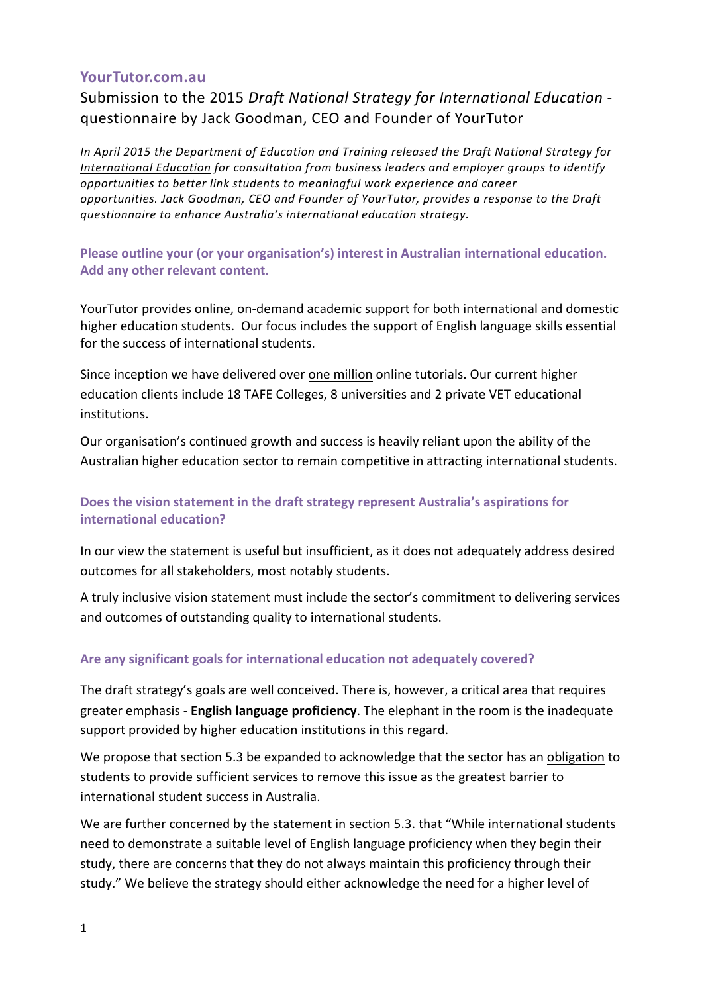#### **YourTutor.com.au**

Submission to the 2015 *Draft National Strategy for International Education* questionnaire by Jack Goodman, CEO and Founder of YourTutor

In April 2015 the Department of Education and Training released the Draft National Strategy for International Education for consultation from business leaders and employer groups to identify *opportunities to better link students to meaningful work experience and career opportunities. Jack Goodman, CEO and Founder of YourTutor, provides a response to the Draft questionnaire to enhance Australia's international education strategy.*

**Please outline your (or your organisation's) interest in Australian international education.** Add any other relevant content.

YourTutor provides online, on-demand academic support for both international and domestic higher education students. Our focus includes the support of English language skills essential for the success of international students.

Since inception we have delivered over one million online tutorials. Our current higher education clients include 18 TAFE Colleges, 8 universities and 2 private VET educational institutions.

Our organisation's continued growth and success is heavily reliant upon the ability of the Australian higher education sector to remain competitive in attracting international students.

# Does the vision statement in the draft strategy represent Australia's aspirations for **international education?**

In our view the statement is useful but insufficient, as it does not adequately address desired outcomes for all stakeholders, most notably students.

A truly inclusive vision statement must include the sector's commitment to delivering services and outcomes of outstanding quality to international students.

#### Are any significant goals for international education not adequately covered?

The draft strategy's goals are well conceived. There is, however, a critical area that requires greater emphasis - **English language proficiency**. The elephant in the room is the inadequate support provided by higher education institutions in this regard.

We propose that section 5.3 be expanded to acknowledge that the sector has an obligation to students to provide sufficient services to remove this issue as the greatest barrier to international student success in Australia.

We are further concerned by the statement in section 5.3. that "While international students need to demonstrate a suitable level of English language proficiency when they begin their study, there are concerns that they do not always maintain this proficiency through their study." We believe the strategy should either acknowledge the need for a higher level of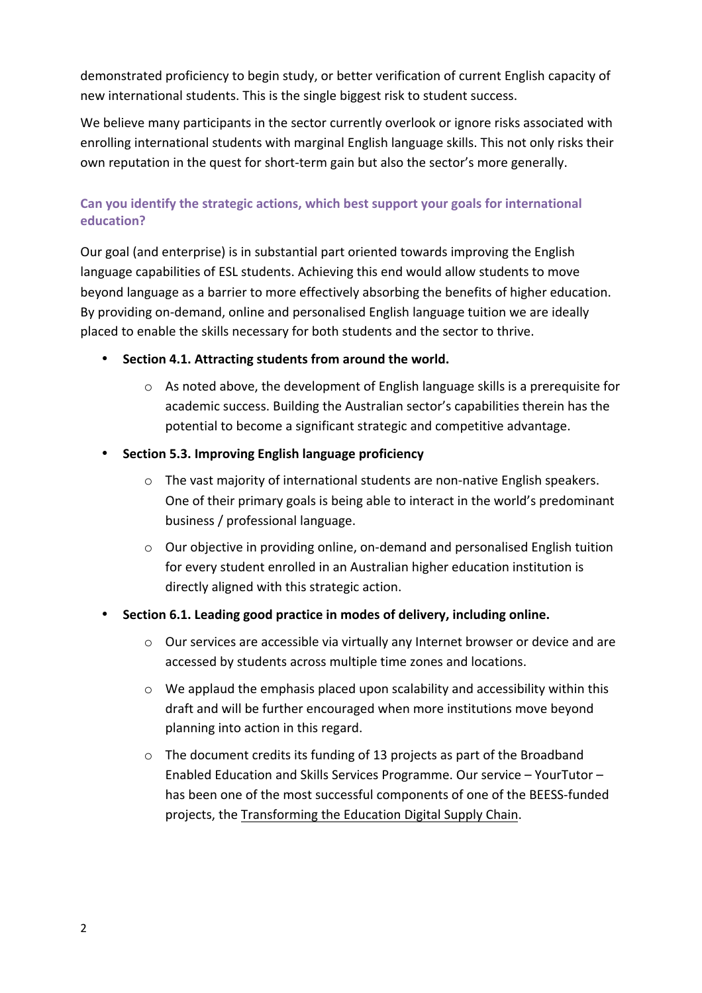demonstrated proficiency to begin study, or better verification of current English capacity of new international students. This is the single biggest risk to student success.

We believe many participants in the sector currently overlook or ignore risks associated with enrolling international students with marginal English language skills. This not only risks their own reputation in the quest for short-term gain but also the sector's more generally.

# Can you identify the strategic actions, which best support your goals for international **education?**

Our goal (and enterprise) is in substantial part oriented towards improving the English language capabilities of ESL students. Achieving this end would allow students to move beyond language as a barrier to more effectively absorbing the benefits of higher education. By providing on-demand, online and personalised English language tuition we are ideally placed to enable the skills necessary for both students and the sector to thrive.

- Section 4.1. Attracting students from around the world.
	- $\circ$  As noted above, the development of English language skills is a prerequisite for academic success. Building the Australian sector's capabilities therein has the potential to become a significant strategic and competitive advantage.
- **Section 5.3. Improving English language proficiency**
	- o The vast majority of international students are non-native English speakers. One of their primary goals is being able to interact in the world's predominant business / professional language.
	- o Our objective in providing online, on-demand and personalised English tuition for every student enrolled in an Australian higher education institution is directly aligned with this strategic action.

# Section 6.1. Leading good practice in modes of delivery, including online.

- $\circ$  Our services are accessible via virtually any Internet browser or device and are accessed by students across multiple time zones and locations.
- o We applaud the emphasis placed upon scalability and accessibility within this draft and will be further encouraged when more institutions move beyond planning into action in this regard.
- o The document credits its funding of 13 projects as part of the Broadband Enabled Education and Skills Services Programme. Our service – YourTutor – has been one of the most successful components of one of the BEESS-funded projects, the Transforming the Education Digital Supply Chain.